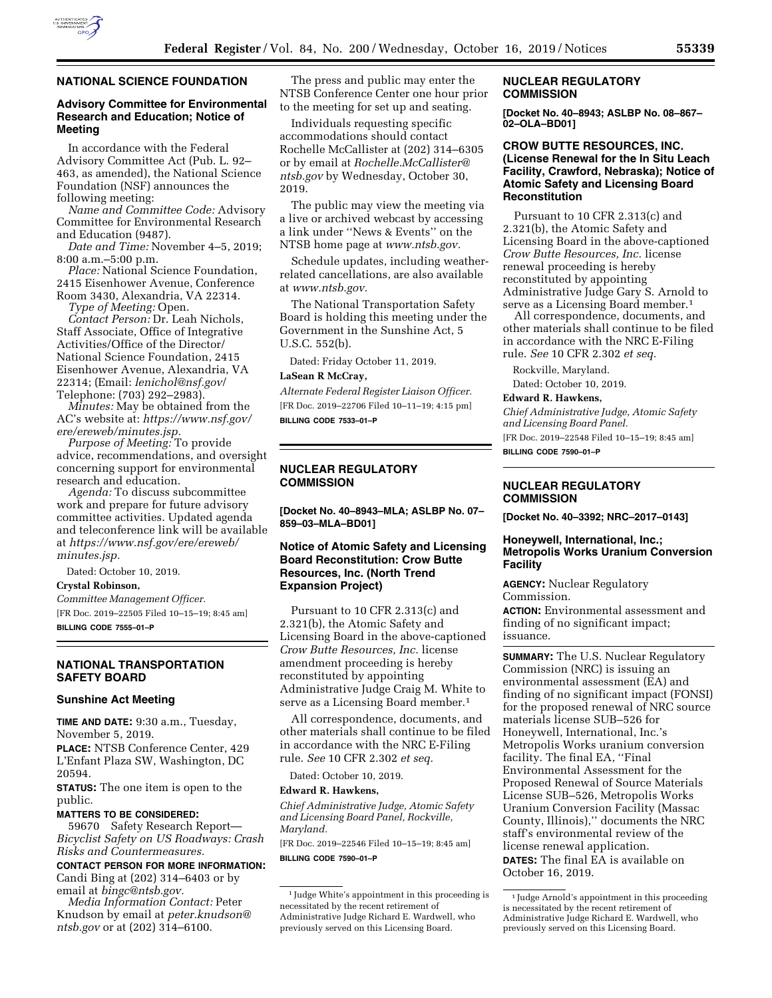

# **NATIONAL SCIENCE FOUNDATION**

# **Advisory Committee for Environmental Research and Education; Notice of Meeting**

In accordance with the Federal Advisory Committee Act (Pub. L. 92– 463, as amended), the National Science Foundation (NSF) announces the following meeting:

*Name and Committee Code:* Advisory Committee for Environmental Research and Education (9487).

*Date and Time:* November 4–5, 2019; 8:00 a.m.–5:00 p.m.

*Place:* National Science Foundation, 2415 Eisenhower Avenue, Conference Room 3430, Alexandria, VA 22314.

*Type of Meeting:* Open. *Contact Person:* Dr. Leah Nichols, Staff Associate, Office of Integrative Activities/Office of the Director/ National Science Foundation, 2415 Eisenhower Avenue, Alexandria, VA 22314; (Email: *[lenichol@nsf.gov](mailto:lenichol@nsf.gov/)*/ Telephone: (703) 292–2983).

*Minutes:* May be obtained from the AC's website at: *[https://www.nsf.gov/](https://www.nsf.gov/ere/ereweb/minutes.jsp)  [ere/ereweb/minutes.jsp.](https://www.nsf.gov/ere/ereweb/minutes.jsp)* 

*Purpose of Meeting:* To provide advice, recommendations, and oversight concerning support for environmental research and education.

*Agenda:* To discuss subcommittee work and prepare for future advisory committee activities. Updated agenda and teleconference link will be available at *[https://www.nsf.gov/ere/ereweb/](https://www.nsf.gov/ere/ereweb/minutes.jsp) [minutes.jsp.](https://www.nsf.gov/ere/ereweb/minutes.jsp)* 

Dated: October 10, 2019.

**Crystal Robinson,** 

*Committee Management Officer.*  [FR Doc. 2019–22505 Filed 10–15–19; 8:45 am] **BILLING CODE 7555–01–P** 

### **NATIONAL TRANSPORTATION SAFETY BOARD**

### **Sunshine Act Meeting**

**TIME AND DATE:** 9:30 a.m., Tuesday, November 5, 2019.

**PLACE:** NTSB Conference Center, 429 L'Enfant Plaza SW, Washington, DC 20594.

**STATUS:** The one item is open to the public.

**MATTERS TO BE CONSIDERED:** 

59670 Safety Research Report— *Bicyclist Safety on US Roadways: Crash Risks and Countermeasures.* 

### **CONTACT PERSON FOR MORE INFORMATION:**

Candi Bing at (202) 314–6403 or by email at *[bingc@ntsb.gov.](mailto:bingc@ntsb.gov)* 

*Media Information Contact:* Peter Knudson by email at *[peter.knudson@](mailto:peter.knudson@ntsb.gov) [ntsb.gov](mailto:peter.knudson@ntsb.gov)* or at (202) 314–6100.

The press and public may enter the NTSB Conference Center one hour prior to the meeting for set up and seating.

Individuals requesting specific accommodations should contact Rochelle McCallister at (202) 314–6305 or by email at *[Rochelle.McCallister@](mailto:Rochelle.McCallister@ntsb.gov) [ntsb.gov](mailto:Rochelle.McCallister@ntsb.gov)* by Wednesday, October 30, 2019.

The public may view the meeting via a live or archived webcast by accessing a link under ''News & Events'' on the NTSB home page at *[www.ntsb.gov.](http://www.ntsb.gov)* 

Schedule updates, including weatherrelated cancellations, are also available at *[www.ntsb.gov.](http://www.ntsb.gov)* 

The National Transportation Safety Board is holding this meeting under the Government in the Sunshine Act, 5 U.S.C. 552(b).

Dated: Friday October 11, 2019.

### **LaSean R McCray,**

*Alternate Federal Register Liaison Officer.*  [FR Doc. 2019–22706 Filed 10–11–19; 4:15 pm] **BILLING CODE 7533–01–P** 

# **NUCLEAR REGULATORY COMMISSION**

**[Docket No. 40–8943–MLA; ASLBP No. 07– 859–03–MLA–BD01]** 

# **Notice of Atomic Safety and Licensing Board Reconstitution: Crow Butte Resources, Inc. (North Trend Expansion Project)**

Pursuant to 10 CFR 2.313(c) and 2.321(b), the Atomic Safety and Licensing Board in the above-captioned *Crow Butte Resources, Inc.* license amendment proceeding is hereby reconstituted by appointing Administrative Judge Craig M. White to serve as a Licensing Board member.1

All correspondence, documents, and other materials shall continue to be filed in accordance with the NRC E-Filing rule. *See* 10 CFR 2.302 *et seq.* 

Dated: October 10, 2019.

#### **Edward R. Hawkens,**

*Chief Administrative Judge, Atomic Safety and Licensing Board Panel, Rockville, Maryland.* 

[FR Doc. 2019–22546 Filed 10–15–19; 8:45 am]

**BILLING CODE 7590–01–P** 

# **NUCLEAR REGULATORY COMMISSION**

**[Docket No. 40–8943; ASLBP No. 08–867– 02–OLA–BD01]** 

# **CROW BUTTE RESOURCES, INC. (License Renewal for the In Situ Leach Facility, Crawford, Nebraska); Notice of Atomic Safety and Licensing Board Reconstitution**

Pursuant to 10 CFR 2.313(c) and 2.321(b), the Atomic Safety and Licensing Board in the above-captioned *Crow Butte Resources, Inc.* license renewal proceeding is hereby reconstituted by appointing Administrative Judge Gary S. Arnold to serve as a Licensing Board member.1

All correspondence, documents, and other materials shall continue to be filed in accordance with the NRC E-Filing rule. *See* 10 CFR 2.302 *et seq.* 

Rockville, Maryland.

Dated: October 10, 2019.

### **Edward R. Hawkens,**

*Chief Administrative Judge, Atomic Safety and Licensing Board Panel.*  [FR Doc. 2019–22548 Filed 10–15–19; 8:45 am] **BILLING CODE 7590–01–P** 

# **NUCLEAR REGULATORY COMMISSION**

**[Docket No. 40–3392; NRC–2017–0143]** 

# **Honeywell, International, Inc.; Metropolis Works Uranium Conversion Facility**

**AGENCY:** Nuclear Regulatory Commission.

**ACTION:** Environmental assessment and finding of no significant impact; issuance.

**SUMMARY:** The U.S. Nuclear Regulatory Commission (NRC) is issuing an environmental assessment (EA) and finding of no significant impact (FONSI) for the proposed renewal of NRC source materials license SUB–526 for Honeywell, International, Inc.'s Metropolis Works uranium conversion facility. The final EA, ''Final Environmental Assessment for the Proposed Renewal of Source Materials License SUB–526, Metropolis Works Uranium Conversion Facility (Massac County, Illinois),'' documents the NRC staff's environmental review of the license renewal application.

**DATES:** The final EA is available on October 16, 2019.

<sup>1</sup> Judge White's appointment in this proceeding is necessitated by the recent retirement of Administrative Judge Richard E. Wardwell, who previously served on this Licensing Board.

<sup>1</sup> Judge Arnold's appointment in this proceeding is necessitated by the recent retirement of Administrative Judge Richard E. Wardwell, who previously served on this Licensing Board.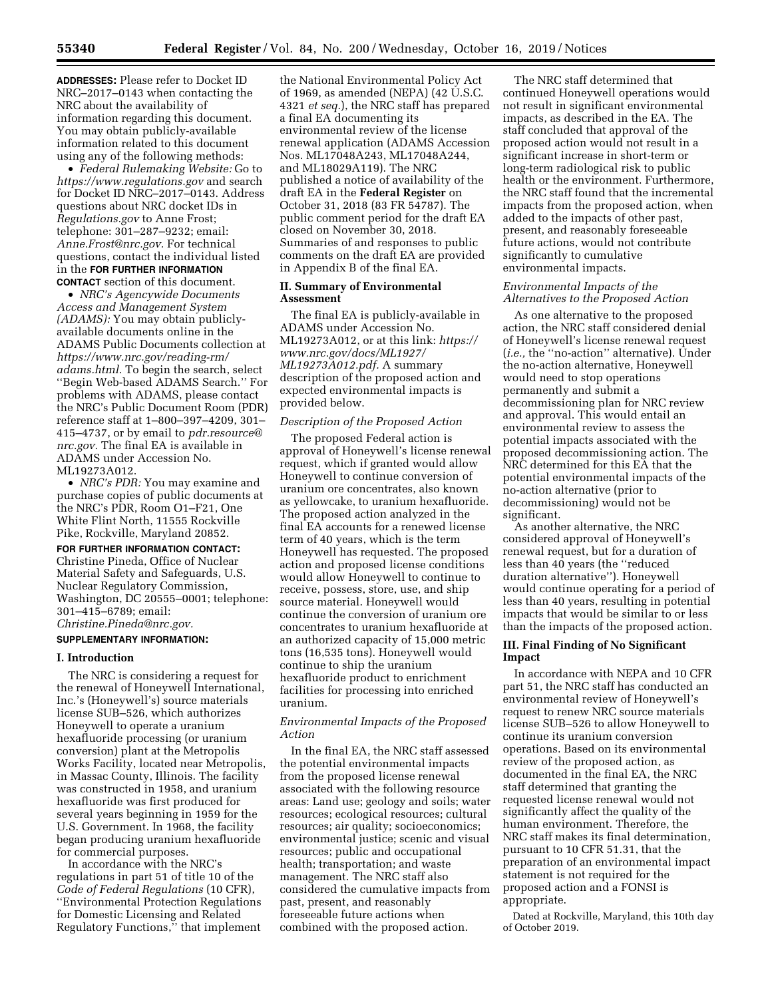**ADDRESSES:** Please refer to Docket ID NRC–2017–0143 when contacting the NRC about the availability of information regarding this document. You may obtain publicly-available information related to this document using any of the following methods:

• *Federal Rulemaking Website:* Go to *<https://www.regulations.gov>* and search for Docket ID NRC–2017–0143. Address questions about NRC docket IDs in *Regulations.gov* to Anne Frost; telephone: 301–287–9232; email: *[Anne.Frost@nrc.gov.](mailto:Anne.Frost@nrc.gov)* For technical questions, contact the individual listed in the **FOR FURTHER INFORMATION CONTACT** section of this document.

• *NRC's Agencywide Documents Access and Management System (ADAMS):* You may obtain publiclyavailable documents online in the ADAMS Public Documents collection at *[https://www.nrc.gov/reading-rm/](https://www.nrc.gov/reading-rm/adams.html)  [adams.html.](https://www.nrc.gov/reading-rm/adams.html)* To begin the search, select ''Begin Web-based ADAMS Search.'' For problems with ADAMS, please contact the NRC's Public Document Room (PDR) reference staff at 1–800–397–4209, 301– 415–4737, or by email to *[pdr.resource@](mailto:pdr.resource@nrc.gov) [nrc.gov.](mailto:pdr.resource@nrc.gov)* The final EA is available in ADAMS under Accession No. ML19273A012.

• *NRC's PDR:* You may examine and purchase copies of public documents at the NRC's PDR, Room O1–F21, One White Flint North, 11555 Rockville Pike, Rockville, Maryland 20852.

**FOR FURTHER INFORMATION CONTACT:**  Christine Pineda, Office of Nuclear Material Safety and Safeguards, U.S. Nuclear Regulatory Commission, Washington, DC 20555–0001; telephone: 301–415–6789; email: *[Christine.Pineda@nrc.gov.](mailto:Christine.Pineda@nrc.gov)* 

#### **SUPPLEMENTARY INFORMATION:**

#### **I. Introduction**

The NRC is considering a request for the renewal of Honeywell International, Inc.'s (Honeywell's) source materials license SUB–526, which authorizes Honeywell to operate a uranium hexafluoride processing (or uranium conversion) plant at the Metropolis Works Facility, located near Metropolis, in Massac County, Illinois. The facility was constructed in 1958, and uranium hexafluoride was first produced for several years beginning in 1959 for the U.S. Government. In 1968, the facility began producing uranium hexafluoride for commercial purposes.

In accordance with the NRC's regulations in part 51 of title 10 of the *Code of Federal Regulations* (10 CFR), ''Environmental Protection Regulations for Domestic Licensing and Related Regulatory Functions,'' that implement

the National Environmental Policy Act of 1969, as amended (NEPA) (42 U.S.C. 4321 *et seq.*), the NRC staff has prepared a final EA documenting its environmental review of the license renewal application (ADAMS Accession Nos. ML17048A243, ML17048A244, and ML18029A119). The NRC published a notice of availability of the draft EA in the **Federal Register** on October 31, 2018 (83 FR 54787). The public comment period for the draft EA closed on November 30, 2018. Summaries of and responses to public comments on the draft EA are provided in Appendix B of the final EA.

### **II. Summary of Environmental Assessment**

The final EA is publicly-available in ADAMS under Accession No. ML19273A012, or at this link: *[https://](https://www.nrc.gov/docs/ML1927/ML19273A012.pdf) [www.nrc.gov/docs/ML1927/](https://www.nrc.gov/docs/ML1927/ML19273A012.pdf)  [ML19273A012.pdf.](https://www.nrc.gov/docs/ML1927/ML19273A012.pdf)* A summary description of the proposed action and expected environmental impacts is provided below.

### *Description of the Proposed Action*

The proposed Federal action is approval of Honeywell's license renewal request, which if granted would allow Honeywell to continue conversion of uranium ore concentrates, also known as yellowcake, to uranium hexafluoride. The proposed action analyzed in the final EA accounts for a renewed license term of 40 years, which is the term Honeywell has requested. The proposed action and proposed license conditions would allow Honeywell to continue to receive, possess, store, use, and ship source material. Honeywell would continue the conversion of uranium ore concentrates to uranium hexafluoride at an authorized capacity of 15,000 metric tons (16,535 tons). Honeywell would continue to ship the uranium hexafluoride product to enrichment facilities for processing into enriched uranium.

### *Environmental Impacts of the Proposed Action*

In the final EA, the NRC staff assessed the potential environmental impacts from the proposed license renewal associated with the following resource areas: Land use; geology and soils; water resources; ecological resources; cultural resources; air quality; socioeconomics; environmental justice; scenic and visual resources; public and occupational health; transportation; and waste management. The NRC staff also considered the cumulative impacts from past, present, and reasonably foreseeable future actions when combined with the proposed action.

The NRC staff determined that continued Honeywell operations would not result in significant environmental impacts, as described in the EA. The staff concluded that approval of the proposed action would not result in a significant increase in short-term or long-term radiological risk to public health or the environment. Furthermore, the NRC staff found that the incremental impacts from the proposed action, when added to the impacts of other past, present, and reasonably foreseeable future actions, would not contribute significantly to cumulative environmental impacts.

# *Environmental Impacts of the Alternatives to the Proposed Action*

As one alternative to the proposed action, the NRC staff considered denial of Honeywell's license renewal request (*i.e.*, the "no-action" alternative). Under the no-action alternative, Honeywell would need to stop operations permanently and submit a decommissioning plan for NRC review and approval. This would entail an environmental review to assess the potential impacts associated with the proposed decommissioning action. The NRC determined for this EA that the potential environmental impacts of the no-action alternative (prior to decommissioning) would not be significant.

As another alternative, the NRC considered approval of Honeywell's renewal request, but for a duration of less than 40 years (the ''reduced duration alternative''). Honeywell would continue operating for a period of less than 40 years, resulting in potential impacts that would be similar to or less than the impacts of the proposed action.

# **III. Final Finding of No Significant Impact**

In accordance with NEPA and 10 CFR part 51, the NRC staff has conducted an environmental review of Honeywell's request to renew NRC source materials license SUB–526 to allow Honeywell to continue its uranium conversion operations. Based on its environmental review of the proposed action, as documented in the final EA, the NRC staff determined that granting the requested license renewal would not significantly affect the quality of the human environment. Therefore, the NRC staff makes its final determination, pursuant to 10 CFR 51.31, that the preparation of an environmental impact statement is not required for the proposed action and a FONSI is appropriate.

Dated at Rockville, Maryland, this 10th day of October 2019.